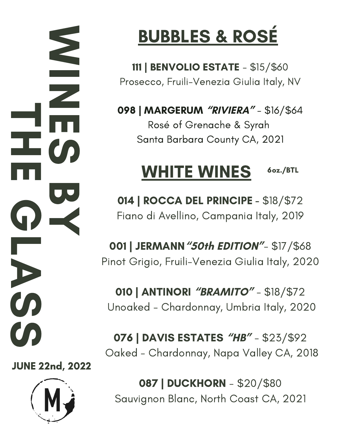W **I**<br>Indonesia N E  $\boldsymbol{\omega}$ **BU**  $\blacktriangleleft$ **TI** H E  $\Omega$  . L A  $\boldsymbol{\omega}$  $\boldsymbol{\omega}$ 

JUNE 22nd, 2022



# BUBBLES & ROSÉ

111 | BENVOLIO ESTATE - \$15/\$60 Prosecco, Fruili-Venezia Giulia Italy, NV

098 | MARGERUM **"RIVIERA"** - \$16/\$64 Rosé of Grenache & Syrah Santa Barbara County CA, 2021

#### WHITE WINES 6oz./BTL

014 | ROCCA DEL PRINCIPE - \$18/\$72 Fiano di Avellino, Campania Italy, 2019

001 | JERMANN**"50th EDITION"**- \$17/\$68 Pinot Grigio, Fruili-Venezia Giulia Italy, 2020

010 | ANTINORI **"BRAMITO"** - \$18/\$72 Unoaked - Chardonnay, Umbria Italy, 2020

076 | DAVIS ESTATES **"HB"** - \$23/\$92 Oaked - Chardonnay, Napa Valley CA, 2018

087 | DUCKHORN - \$20/\$80 Sauvignon Blanc, North Coast CA, 2021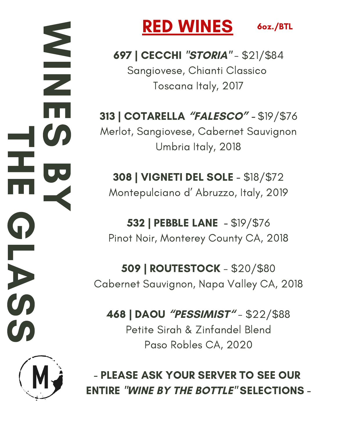W i<br>Indonesia N E  $\boldsymbol{\omega}$ **BB**  $\prec$  $\blacksquare$ H E O L A  $\boldsymbol{\omega}$  $\boldsymbol{\omega}$ 



# RED WINES

6oz./BTL

697 | CECCHI **"STORIA"** - \$21/\$84 Sangiovese, Chianti Classico Toscana Italy, 2017

313 | COTARELLA **"FALESCO" -** \$19/\$76 Merlot, Sangiovese, Cabernet Sauvignon Umbria Italy, 2018

308 | VIGNETI DEL SOLE - \$18/\$72 Montepulciano d' Abruzzo, Italy, 2019

532 | PEBBLE LANE - \$19/\$76 Pinot Noir, Monterey County CA, 2018

509 | ROUTESTOCK - \$20/\$80 Cabernet Sauvignon, Napa Valley CA, 2018

468 | DAOU **"PESSIMIST"** - \$22/\$88 Petite Sirah & Zinfandel Blend Paso Robles CA, 2020

- PLEASE ASK YOUR SERVER TO SEE OUR ENTIRE **"WINE BY THE BOTTLE"** SELECTIONS -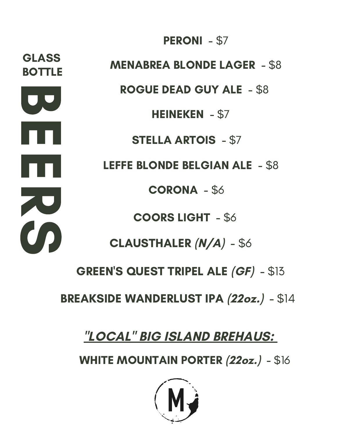**B** E E **ZU** C **BOTTLE** GLASS

HEINEKEN - \$7 COORS LIGHT - \$6 STELLA ARTOIS - \$7 CLAUSTHALER **(N/A)** - \$6 GREEN'S QUEST TRIPEL ALE **(GF)** - \$13 MENABREA BLONDE LAGER - \$8 ROGUE DEAD GUY ALE - \$8 LEFFE BLONDE BELGIAN ALE - \$8 CORONA - \$6

PERONI - \$7

BREAKSIDE WANDERLUST IPA **(22oz.)** - \$14

# **"LOCAL" BIG ISLAND BREHAUS:**

WHITE MOUNTAIN PORTER **(22oz.)** - \$16

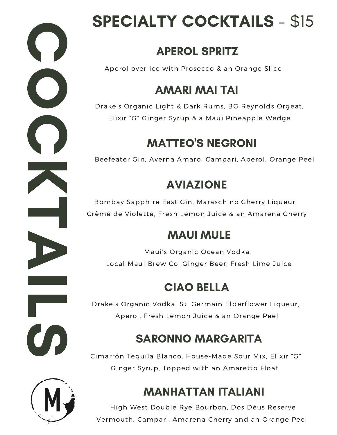# $\bigcap$ O  $\bigcirc$ K  $\blacksquare$ A i<br>Indonesia L  $\boldsymbol{\omega}$

# SPECIALTY COCKTAILS - \$15

# APEROL SPRITZ

Aperol over ice with Prosecco & an Orange Slice

# AMARI MAI TAI

Drake's Organic Light & Dark Rums, BG Reynolds Orgeat, Elixir "G" Ginger Syrup & a Maui Pineapple Wedge

# MATTEO'S NEGRONI

Beefeater Gin, Averna Amaro, Campari, Aperol, Orange Peel

## AVIAZIONE

Bombay Sapphire East Gin, Maraschino Cherry Liqueur, Crème de Violette, Fresh Lemon Juice & an Amarena Cherry

### MAUI MULE

Maui's Organic Ocean Vodka, Local Maui Brew Co. Ginger Beer, Fresh Lime Juice

# CIAO BELLA

Drake's Organic Vodka, St. Germain Elderflower Liqueur, Aperol, Fresh Lemon Juice & an Orange Peel

# SARONNO MARGARITA

Cimarrón Tequila Blanco, House-Made Sour Mix, Elixir "G" Ginger Syrup, Topped with an Amaretto Float

# MANHATTAN ITALIANI

High West Double Rye Bourbon, Dos Déus Reserve Vermouth, Campari, Amarena Cherry and an Orange Peel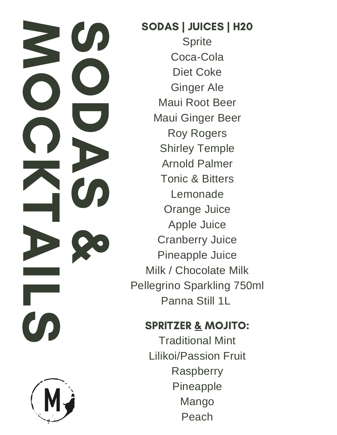$\boldsymbol{\omega}$ O D A  $\boldsymbol{\omega}$ & ZU O. 0 K  $\overline{\phantom{0}}$ D ( i<br>Indonésia L CO



SODAS | JUICES | H20 **Sprite** Coca-Cola Diet Coke Ginger Ale Maui Root Beer Maui Ginger Beer Roy Rogers Shirley Temple Arnold Palmer Tonic & Bitters Lemonade Orange Juice Apple Juice Cranberry Juice Pineapple Juice Milk / Chocolate Milk Pellegrino Sparkling 750ml Panna Still 1L

#### SPRITZER & MOJITO:

Traditional Mint Lilikoi/Passion Fruit Raspberry Pineapple Mango Peach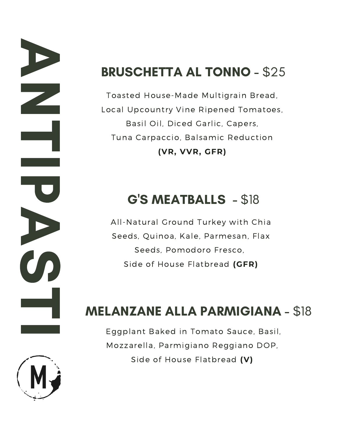# BRUSCHETTA AL TONNO - \$25

Toasted House-Made Multigrain Bread, Local Upcountry Vine Ripened Tomatoes, Basil Oil, Diced Garlic, Capers, Tuna Carpaccio, Balsamic Reduction **(VR, VVR, GFR)**

# G'S MEATBALLS - \$18

All-Natural Ground Turkey with Chia Seeds, Quinoa, Kale, Parmesan, Flax Seeds, Pomodoro Fresco, Side of House Flatbread **(GFR)**

# MELANZANE ALLA PARMIGIANA - \$18

Eggplant Baked in Tomato Sauce, Basil, Mozzarella, Parmigiano Reggiano DOP, Side of House Flatbread **(V)**



A

N

 $\blacksquare$ 

in Santa Barat<br>Inggris de la provincia

**PO** 

A

 $\boldsymbol{\omega}$ 

 $\blacksquare$ 

I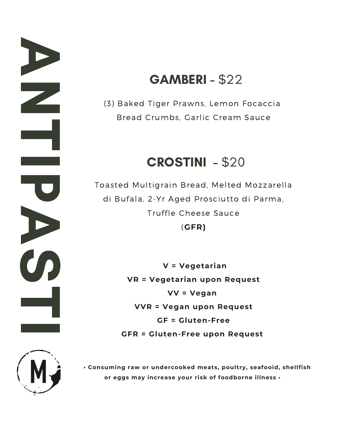## **GAMBERI - \$22**

(3) Baked Tiger Prawns, Lemon Focaccia Bread Crumbs, Garlic Cream Sauce

#### CROSTINI - \$20

Toasted Multigrain Bread, Melted Mozzarella di Bufala, 2-Yr Aged Prosciutto di Parma, Truffle Cheese Sauce (**GFR)**

> **V = Vegetarian VR = Vegetarian upon Request VV = Vegan VVR = Vegan upon Request GF = Gluten-Free GFR = Gluten-Free upon Request**



A

N

 $\blacksquare$ 

i<br>Indonésia

**PO** 

A

 $\boldsymbol{\omega}$ 

 $\blacksquare$ 

in a shekarar 1980.<br>Istoriya

**• Consuming raw or undercooked meats, poultry, seafooid, shellfish or eggs may increase your risk of foodborne illness •**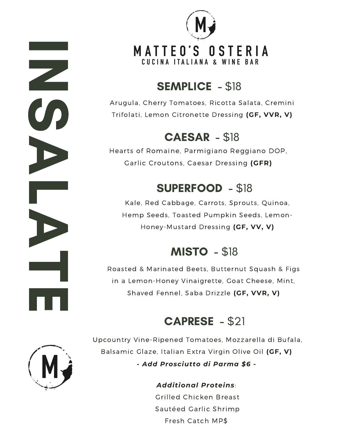

#### SEMPLICE - \$18

Arugula, Cherry Tomatoes, Ricotta Salata, Cremini Trifolati, Lemon Citronette Dressing **(GF, VVR, V)**

#### CAESAR - \$18

Hearts of Romaine, Parmigiano Reggiano DOP, Garlic Croutons, Caesar Dressing **(GFR)**

#### SUPERFOOD - \$18

Kale, Red Cabbage, Carrots, Sprouts, Quinoa, Hemp Seeds, Toasted Pumpkin Seeds, Lemon-Honey-Mustard Dressing **(GF, VV, V)**

#### **MISTO - \$18**

Roasted & Marinated Beets, Butternut Squash & Figs in a Lemon-Honey Vinaigrette, Goat Cheese, Mint, Shaved Fennel, Saba Drizzle **(GF, VVR, V)**

#### CAPRESE - \$21



i<br>Indonésia

N

 $\boldsymbol{\omega}$ 

A

L

A

 $\blacksquare$ 

E

Upcountry Vine-Ripened Tomatoes, Mozzarella di Bufala, Balsamic Glaze, Italian Extra Virgin Olive Oil **(GF, V)** *- Add Prosciutto di Parma \$6 -*

> *Additional Proteins*: Grilled Chicken Breast Sautéed Garlic Shrimp Fresh Catch MP\$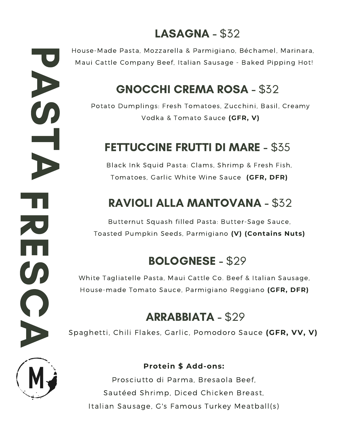#### LASAGNA - \$32

House-Made Pasta, Mozzarella & Parmigiano, Béchamel, Marinara, Maui Cattle Company Beef, Italian Sausage - Baked Pipping Hot!

#### GNOCCHI CREMA ROSA - \$32

Potato Dumplings: Fresh Tomatoes, Zucchini, Basil, Creamy Vodka & Tomato Sauce **(GFR, V)**

#### FETTUCCINE FRUTTI DI MARE - \$35

Black Ink Squid Pasta: Clams, Shrimp & Fresh Fish, Tomatoes, Garlic White Wine Sauce **(GFR, DFR)**

#### RAVIOLI ALLA MANTOVANA - \$32

Butternut Squash filled Pasta: Butter-Sage Sauce, Toasted Pumpkin Seeds, Parmigiano **(V) (Contains Nuts)**

#### BOLOGNESE - \$29

White Tagliatelle Pasta, Maui Cattle Co. Beef & Italian Sausage, House-made Tomato Sauce, Parmigiano Reggiano **(GFR, DFR)**

#### ARRABBIATA - \$29

Spaghetti, Chili Flakes, Garlic, Pomodoro Sauce **(GFR, VV, V)**



**PO** 

A

 $\boldsymbol{\omega}$ 

 $\blacksquare$ 

A

F

**R** 

E

 $\boldsymbol{\omega}$ 

C

A

#### **Protein \$ Add-ons:**

Prosciutto di Parma, Bresaola Beef, Sautéed Shrimp, Diced Chicken Breast, Italian Sausage, G's Famous Turkey Meatball(s)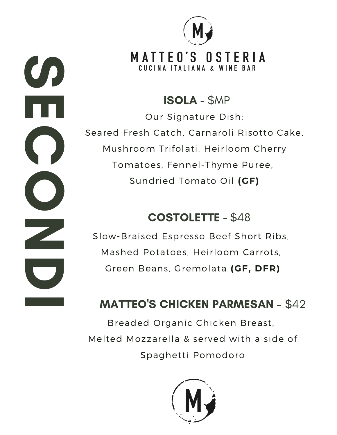**S** E  $\bigcap$ O N D in a shekarar



#### ISOLA - \$MP

Our Signature Dish: Seared Fresh Catch, Carnaroli Risotto Cake, Mushroom Trifolati, Heirloom Cherry Tomatoes, Fennel-Thyme Puree, Sundried Tomato Oil **(GF)**

#### COSTOLETTE - \$48

Slow-Braised Espresso Beef Short Ribs, Mashed Potatoes, Heirloom Carrots, Green Beans, Gremolata **(GF, DFR)**

#### MATTEO'S CHICKEN PARMESAN - \$42

Breaded Organic Chicken Breast, Melted Mozzarella & served with a side of Spaghetti Pomodoro